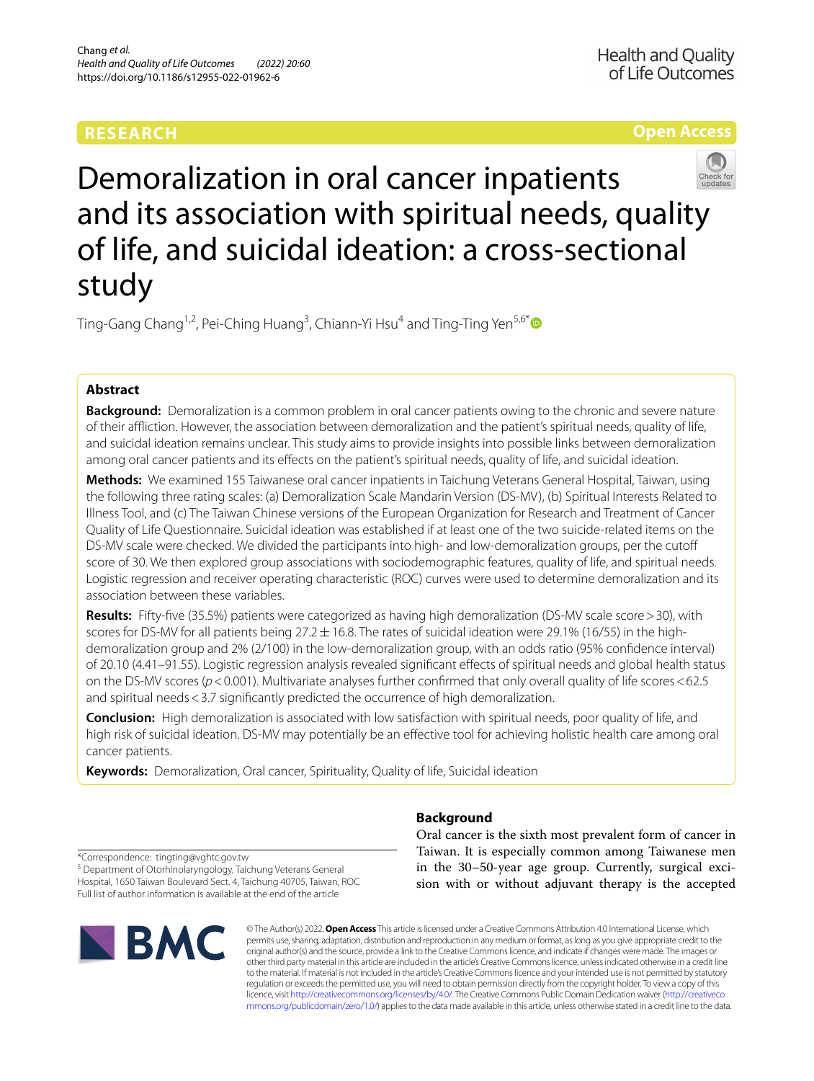# **RESEARCH**

## **Open Access**



Demoralization in oral cancer inpatients and its association with spiritual needs, quality of life, and suicidal ideation: a cross-sectional study

Ting-Gang Chang<sup>1,2</sup>, Pei-Ching Huang<sup>3</sup>, Chiann-Yi Hsu<sup>4</sup> and Ting-Ting Yen<sup>5,6[\\*](http://orcid.org/0000-0002-5802-9434)</sup>

## **Abstract**

**Background:** Demoralization is a common problem in oral cancer patients owing to the chronic and severe nature of their afiction. However, the association between demoralization and the patient's spiritual needs, quality of life, and suicidal ideation remains unclear. This study aims to provide insights into possible links between demoralization among oral cancer patients and its efects on the patient's spiritual needs, quality of life, and suicidal ideation.

**Methods:** We examined 155 Taiwanese oral cancer inpatients in Taichung Veterans General Hospital, Taiwan, using the following three rating scales: (a) Demoralization Scale Mandarin Version (DS-MV), (b) Spiritual Interests Related to Illness Tool, and (c) The Taiwan Chinese versions of the European Organization for Research and Treatment of Cancer Quality of Life Questionnaire. Suicidal ideation was established if at least one of the two suicide-related items on the DS-MV scale were checked. We divided the participants into high- and low-demoralization groups, per the cutof score of 30. We then explored group associations with sociodemographic features, quality of life, and spiritual needs. Logistic regression and receiver operating characteristic (ROC) curves were used to determine demoralization and its association between these variables.

**Results:** Fifty-fve (35.5%) patients were categorized as having high demoralization (DS-MV scale score>30), with scores for DS-MV for all patients being  $27.2 \pm 16.8$ . The rates of suicidal ideation were 29.1% (16/55) in the highdemoralization group and 2% (2/100) in the low-demoralization group, with an odds ratio (95% confdence interval) of 20.10 (4.41–91.55). Logistic regression analysis revealed signifcant efects of spiritual needs and global health status on the DS-MV scores (*p*<0.001). Multivariate analyses further confrmed that only overall quality of life scores<62.5 and spiritual needs < 3.7 significantly predicted the occurrence of high demoralization.

**Conclusion:** High demoralization is associated with low satisfaction with spiritual needs, poor quality of life, and high risk of suicidal ideation. DS-MV may potentially be an efective tool for achieving holistic health care among oral cancer patients.

**Keywords:** Demoralization, Oral cancer, Spirituality, Quality of life, Suicidal ideation

**Background**

Oral cancer is the sixth most prevalent form of cancer in Taiwan. It is especially common among Taiwanese men in the 30–50-year age group. Currently, surgical excision with or without adjuvant therapy is the accepted

\*Correspondence: tingting@vghtc.gov.tw

<sup>5</sup> Department of Otorhinolaryngology, Taichung Veterans General Hospital, 1650 Taiwan Boulevard Sect. 4, Taichung 40705, Taiwan, ROC Full list of author information is available at the end of the article



© The Author(s) 2022. **Open Access** This article is licensed under a Creative Commons Attribution 4.0 International License, which permits use, sharing, adaptation, distribution and reproduction in any medium or format, as long as you give appropriate credit to the original author(s) and the source, provide a link to the Creative Commons licence, and indicate if changes were made. The images or other third party material in this article are included in the article's Creative Commons licence, unless indicated otherwise in a credit line to the material. If material is not included in the article's Creative Commons licence and your intended use is not permitted by statutory regulation or exceeds the permitted use, you will need to obtain permission directly from the copyright holder. To view a copy of this licence, visit [http://creativecommons.org/licenses/by/4.0/.](http://creativecommons.org/licenses/by/4.0/) The Creative Commons Public Domain Dedication waiver ([http://creativeco](http://creativecommons.org/publicdomain/zero/1.0/) [mmons.org/publicdomain/zero/1.0/](http://creativecommons.org/publicdomain/zero/1.0/)) applies to the data made available in this article, unless otherwise stated in a credit line to the data.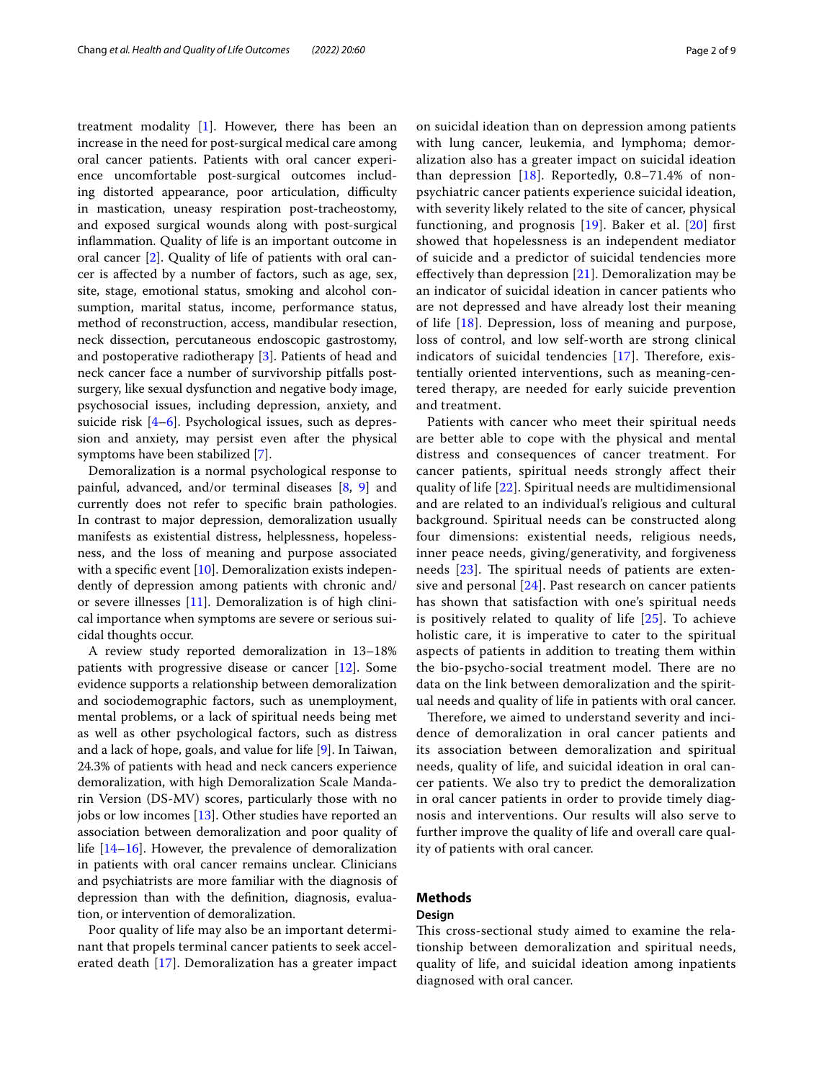treatment modality  $[1]$  $[1]$ . However, there has been an increase in the need for post-surgical medical care among oral cancer patients. Patients with oral cancer experience uncomfortable post-surgical outcomes including distorted appearance, poor articulation, difficulty in mastication, uneasy respiration post-tracheostomy, and exposed surgical wounds along with post-surgical infammation. Quality of life is an important outcome in oral cancer [\[2](#page-7-1)]. Quality of life of patients with oral cancer is afected by a number of factors, such as age, sex, site, stage, emotional status, smoking and alcohol consumption, marital status, income, performance status, method of reconstruction, access, mandibular resection, neck dissection, percutaneous endoscopic gastrostomy, and postoperative radiotherapy [\[3](#page-7-2)]. Patients of head and neck cancer face a number of survivorship pitfalls postsurgery, like sexual dysfunction and negative body image, psychosocial issues, including depression, anxiety, and suicide risk [\[4–](#page-7-3)[6\]](#page-7-4). Psychological issues, such as depression and anxiety, may persist even after the physical symptoms have been stabilized [[7\]](#page-7-5).

Demoralization is a normal psychological response to painful, advanced, and/or terminal diseases [[8,](#page-7-6) [9](#page-7-7)] and currently does not refer to specifc brain pathologies. In contrast to major depression, demoralization usually manifests as existential distress, helplessness, hopelessness, and the loss of meaning and purpose associated with a specific event  $[10]$  $[10]$ . Demoralization exists independently of depression among patients with chronic and/ or severe illnesses [\[11\]](#page-7-9). Demoralization is of high clinical importance when symptoms are severe or serious suicidal thoughts occur.

A review study reported demoralization in 13–18% patients with progressive disease or cancer [\[12\]](#page-7-10). Some evidence supports a relationship between demoralization and sociodemographic factors, such as unemployment, mental problems, or a lack of spiritual needs being met as well as other psychological factors, such as distress and a lack of hope, goals, and value for life [[9\]](#page-7-7). In Taiwan, 24.3% of patients with head and neck cancers experience demoralization, with high Demoralization Scale Mandarin Version (DS-MV) scores, particularly those with no jobs or low incomes [[13\]](#page-7-11). Other studies have reported an association between demoralization and poor quality of life [[14–](#page-7-12)[16\]](#page-7-13). However, the prevalence of demoralization in patients with oral cancer remains unclear. Clinicians and psychiatrists are more familiar with the diagnosis of depression than with the defnition, diagnosis, evaluation, or intervention of demoralization.

Poor quality of life may also be an important determinant that propels terminal cancer patients to seek accelerated death [[17](#page-7-14)]. Demoralization has a greater impact on suicidal ideation than on depression among patients with lung cancer, leukemia, and lymphoma; demoralization also has a greater impact on suicidal ideation than depression  $[18]$  $[18]$ . Reportedly, 0.8–71.4% of nonpsychiatric cancer patients experience suicidal ideation, with severity likely related to the site of cancer, physical functioning, and prognosis  $[19]$  $[19]$ . Baker et al.  $[20]$  $[20]$  first showed that hopelessness is an independent mediator of suicide and a predictor of suicidal tendencies more efectively than depression [\[21](#page-8-0)]. Demoralization may be an indicator of suicidal ideation in cancer patients who are not depressed and have already lost their meaning of life [[18](#page-7-15)]. Depression, loss of meaning and purpose, loss of control, and low self-worth are strong clinical indicators of suicidal tendencies  $[17]$  $[17]$ . Therefore, existentially oriented interventions, such as meaning-centered therapy, are needed for early suicide prevention

Patients with cancer who meet their spiritual needs are better able to cope with the physical and mental distress and consequences of cancer treatment. For cancer patients, spiritual needs strongly afect their quality of life [[22\]](#page-8-1). Spiritual needs are multidimensional and are related to an individual's religious and cultural background. Spiritual needs can be constructed along four dimensions: existential needs, religious needs, inner peace needs, giving/generativity, and forgiveness needs  $[23]$  $[23]$ . The spiritual needs of patients are extensive and personal [[24\]](#page-8-3). Past research on cancer patients has shown that satisfaction with one's spiritual needs is positively related to quality of life [\[25](#page-8-4)]. To achieve holistic care, it is imperative to cater to the spiritual aspects of patients in addition to treating them within the bio-psycho-social treatment model. There are no data on the link between demoralization and the spiritual needs and quality of life in patients with oral cancer.

Therefore, we aimed to understand severity and incidence of demoralization in oral cancer patients and its association between demoralization and spiritual needs, quality of life, and suicidal ideation in oral cancer patients. We also try to predict the demoralization in oral cancer patients in order to provide timely diagnosis and interventions. Our results will also serve to further improve the quality of life and overall care quality of patients with oral cancer.

### **Methods**

and treatment.

### **Design**

This cross-sectional study aimed to examine the relationship between demoralization and spiritual needs, quality of life, and suicidal ideation among inpatients diagnosed with oral cancer.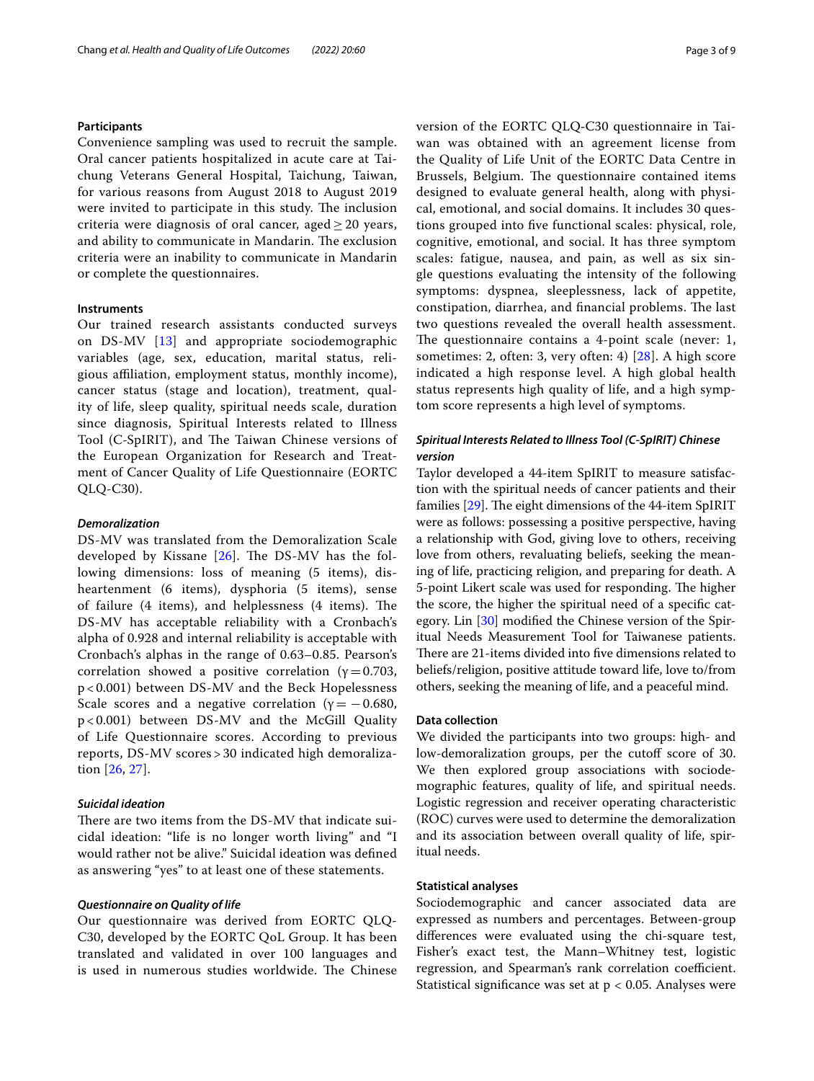### **Participants**

Convenience sampling was used to recruit the sample. Oral cancer patients hospitalized in acute care at Taichung Veterans General Hospital, Taichung, Taiwan, for various reasons from August 2018 to August 2019 were invited to participate in this study. The inclusion criteria were diagnosis of oral cancer, aged > 20 years, and ability to communicate in Mandarin. The exclusion criteria were an inability to communicate in Mandarin or complete the questionnaires.

### **Instruments**

Our trained research assistants conducted surveys on DS-MV [\[13](#page-7-11)] and appropriate sociodemographic variables (age, sex, education, marital status, religious afliation, employment status, monthly income), cancer status (stage and location), treatment, quality of life, sleep quality, spiritual needs scale, duration since diagnosis, Spiritual Interests related to Illness Tool (C-SpIRIT), and The Taiwan Chinese versions of the European Organization for Research and Treatment of Cancer Quality of Life Questionnaire (EORTC QLQ-C30).

### *Demoralization*

DS-MV was translated from the Demoralization Scale developed by Kissane  $[26]$  $[26]$ . The DS-MV has the following dimensions: loss of meaning (5 items), disheartenment (6 items), dysphoria (5 items), sense of failure  $(4$  items), and helplessness  $(4$  items). The DS-MV has acceptable reliability with a Cronbach's alpha of 0.928 and internal reliability is acceptable with Cronbach's alphas in the range of 0.63–0.85. Pearson's correlation showed a positive correlation ( $\gamma = 0.703$ , p < 0.001) between DS-MV and the Beck Hopelessness Scale scores and a negative correlation ( $\gamma = -0.680$ , p < 0.001) between DS-MV and the McGill Quality of Life Questionnaire scores. According to previous reports, DS-MV scores > 30 indicated high demoralization [\[26,](#page-8-5) [27\]](#page-8-6).

### *Suicidal ideation*

There are two items from the DS-MV that indicate suicidal ideation: "life is no longer worth living" and "I would rather not be alive." Suicidal ideation was defned as answering "yes" to at least one of these statements.

### *Questionnaire on Quality of life*

Our questionnaire was derived from EORTC QLQ-C30, developed by the EORTC QoL Group. It has been translated and validated in over 100 languages and is used in numerous studies worldwide. The Chinese version of the EORTC QLQ‐C30 questionnaire in Taiwan was obtained with an agreement license from the Quality of Life Unit of the EORTC Data Centre in Brussels, Belgium. The questionnaire contained items designed to evaluate general health, along with physical, emotional, and social domains. It includes 30 questions grouped into fve functional scales: physical, role, cognitive, emotional, and social. It has three symptom scales: fatigue, nausea, and pain, as well as six single questions evaluating the intensity of the following symptoms: dyspnea, sleeplessness, lack of appetite, constipation, diarrhea, and financial problems. The last two questions revealed the overall health assessment. The questionnaire contains a 4-point scale (never:  $1$ , sometimes: 2, often: 3, very often: 4) [\[28](#page-8-7)]. A high score indicated a high response level. A high global health status represents high quality of life, and a high symptom score represents a high level of symptoms.

### *Spiritual Interests Related to Illness Tool (C‑SpIRIT) Chinese version*

Taylor developed a 44-item SpIRIT to measure satisfaction with the spiritual needs of cancer patients and their families  $[29]$ . The eight dimensions of the 44-item SpIRIT were as follows: possessing a positive perspective, having a relationship with God, giving love to others, receiving love from others, revaluating beliefs, seeking the meaning of life, practicing religion, and preparing for death. A 5-point Likert scale was used for responding. The higher the score, the higher the spiritual need of a specifc category. Lin [[30\]](#page-8-9) modifed the Chinese version of the Spiritual Needs Measurement Tool for Taiwanese patients. There are 21-items divided into five dimensions related to beliefs/religion, positive attitude toward life, love to/from others, seeking the meaning of life, and a peaceful mind.

### **Data collection**

We divided the participants into two groups: high- and low-demoralization groups, per the cutoff score of 30. We then explored group associations with sociodemographic features, quality of life, and spiritual needs. Logistic regression and receiver operating characteristic (ROC) curves were used to determine the demoralization and its association between overall quality of life, spiritual needs.

### **Statistical analyses**

Sociodemographic and cancer associated data are expressed as numbers and percentages. Between-group diferences were evaluated using the chi-square test, Fisher's exact test, the Mann–Whitney test, logistic regression, and Spearman's rank correlation coefficient. Statistical significance was set at  $p < 0.05$ . Analyses were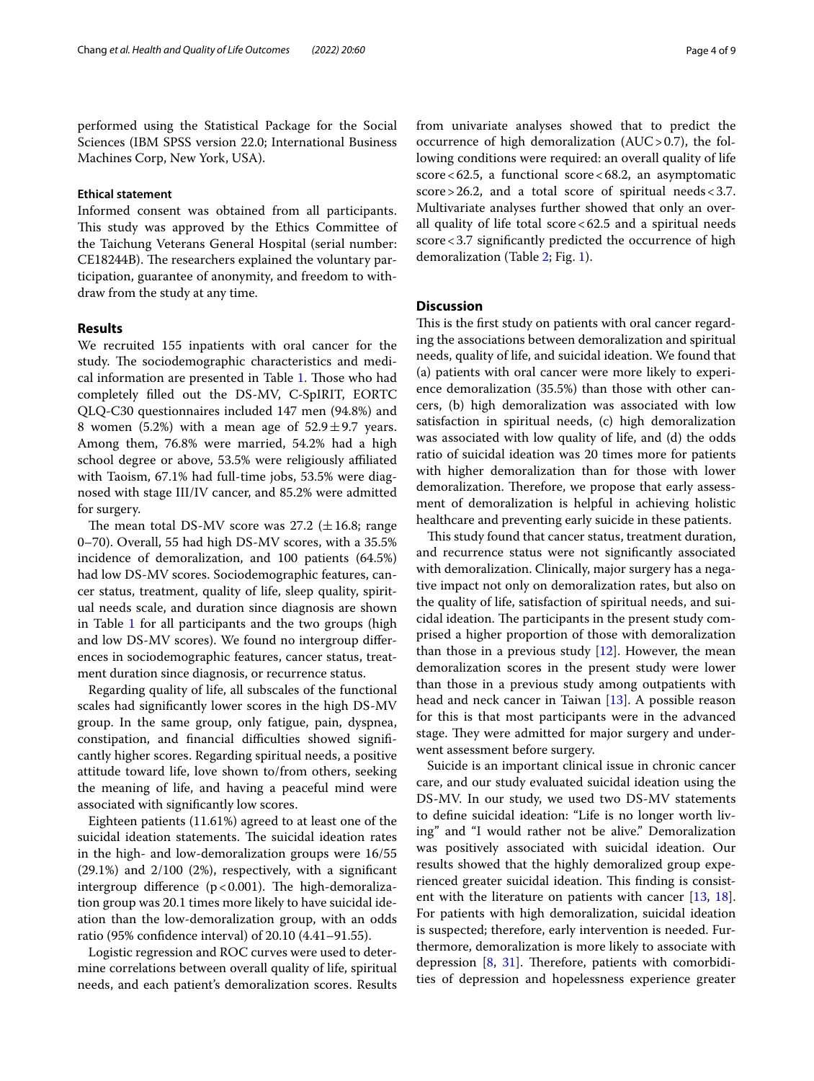performed using the Statistical Package for the Social Sciences (IBM SPSS version 22.0; International Business Machines Corp, New York, USA).

### **Ethical statement**

Informed consent was obtained from all participants. This study was approved by the Ethics Committee of the Taichung Veterans General Hospital (serial number: CE18244B). The researchers explained the voluntary participation, guarantee of anonymity, and freedom to withdraw from the study at any time.

### **Results**

We recruited 155 inpatients with oral cancer for the study. The sociodemographic characteristics and medi-cal information are presented in Table [1.](#page-4-0) Those who had completely flled out the DS-MV, C-SpIRIT, EORTC QLQ-C30 questionnaires included 147 men (94.8%) and 8 women (5.2%) with a mean age of  $52.9 \pm 9.7$  years. Among them, 76.8% were married, 54.2% had a high school degree or above, 53.5% were religiously afliated with Taoism, 67.1% had full-time jobs, 53.5% were diagnosed with stage III/IV cancer, and 85.2% were admitted for surgery.

The mean total DS-MV score was  $27.2 \pm 16.8$ ; range 0–70). Overall, 55 had high DS-MV scores, with a 35.5% incidence of demoralization, and 100 patients (64.5%) had low DS-MV scores. Sociodemographic features, cancer status, treatment, quality of life, sleep quality, spiritual needs scale, and duration since diagnosis are shown in Table [1](#page-4-0) for all participants and the two groups (high and low DS-MV scores). We found no intergroup diferences in sociodemographic features, cancer status, treatment duration since diagnosis, or recurrence status.

Regarding quality of life, all subscales of the functional scales had signifcantly lower scores in the high DS-MV group. In the same group, only fatigue, pain, dyspnea, constipation, and financial difficulties showed significantly higher scores. Regarding spiritual needs, a positive attitude toward life, love shown to/from others, seeking the meaning of life, and having a peaceful mind were associated with signifcantly low scores.

Eighteen patients (11.61%) agreed to at least one of the suicidal ideation statements. The suicidal ideation rates in the high- and low-demoralization groups were 16/55 (29.1%) and 2/100 (2%), respectively, with a signifcant intergroup difference ( $p < 0.001$ ). The high-demoralization group was 20.1 times more likely to have suicidal ideation than the low-demoralization group, with an odds ratio (95% confdence interval) of 20.10 (4.41–91.55).

Logistic regression and ROC curves were used to determine correlations between overall quality of life, spiritual needs, and each patient's demoralization scores. Results from univariate analyses showed that to predict the occurrence of high demoralization  $(AUC > 0.7)$ , the following conditions were required: an overall quality of life score  $< 62.5$ , a functional score  $< 68.2$ , an asymptomatic score>26.2, and a total score of spiritual needs<3.7. Multivariate analyses further showed that only an overall quality of life total score<62.5 and a spiritual needs score<3.7 significantly predicted the occurrence of high demoralization (Table [2;](#page-5-0) Fig. [1](#page-6-0)).

### **Discussion**

This is the first study on patients with oral cancer regarding the associations between demoralization and spiritual needs, quality of life, and suicidal ideation. We found that (a) patients with oral cancer were more likely to experience demoralization (35.5%) than those with other cancers, (b) high demoralization was associated with low satisfaction in spiritual needs, (c) high demoralization was associated with low quality of life, and (d) the odds ratio of suicidal ideation was 20 times more for patients with higher demoralization than for those with lower demoralization. Therefore, we propose that early assessment of demoralization is helpful in achieving holistic healthcare and preventing early suicide in these patients.

This study found that cancer status, treatment duration, and recurrence status were not signifcantly associated with demoralization. Clinically, major surgery has a negative impact not only on demoralization rates, but also on the quality of life, satisfaction of spiritual needs, and suicidal ideation. The participants in the present study comprised a higher proportion of those with demoralization than those in a previous study  $[12]$  $[12]$ . However, the mean demoralization scores in the present study were lower than those in a previous study among outpatients with head and neck cancer in Taiwan [\[13](#page-7-11)]. A possible reason for this is that most participants were in the advanced stage. They were admitted for major surgery and underwent assessment before surgery.

Suicide is an important clinical issue in chronic cancer care, and our study evaluated suicidal ideation using the DS-MV. In our study, we used two DS-MV statements to defne suicidal ideation: "Life is no longer worth living" and "I would rather not be alive." Demoralization was positively associated with suicidal ideation. Our results showed that the highly demoralized group experienced greater suicidal ideation. This finding is consist-ent with the literature on patients with cancer [[13](#page-7-11), [18](#page-7-15)]. For patients with high demoralization, suicidal ideation is suspected; therefore, early intervention is needed. Furthermore, demoralization is more likely to associate with depression  $[8, 31]$  $[8, 31]$  $[8, 31]$ . Therefore, patients with comorbidities of depression and hopelessness experience greater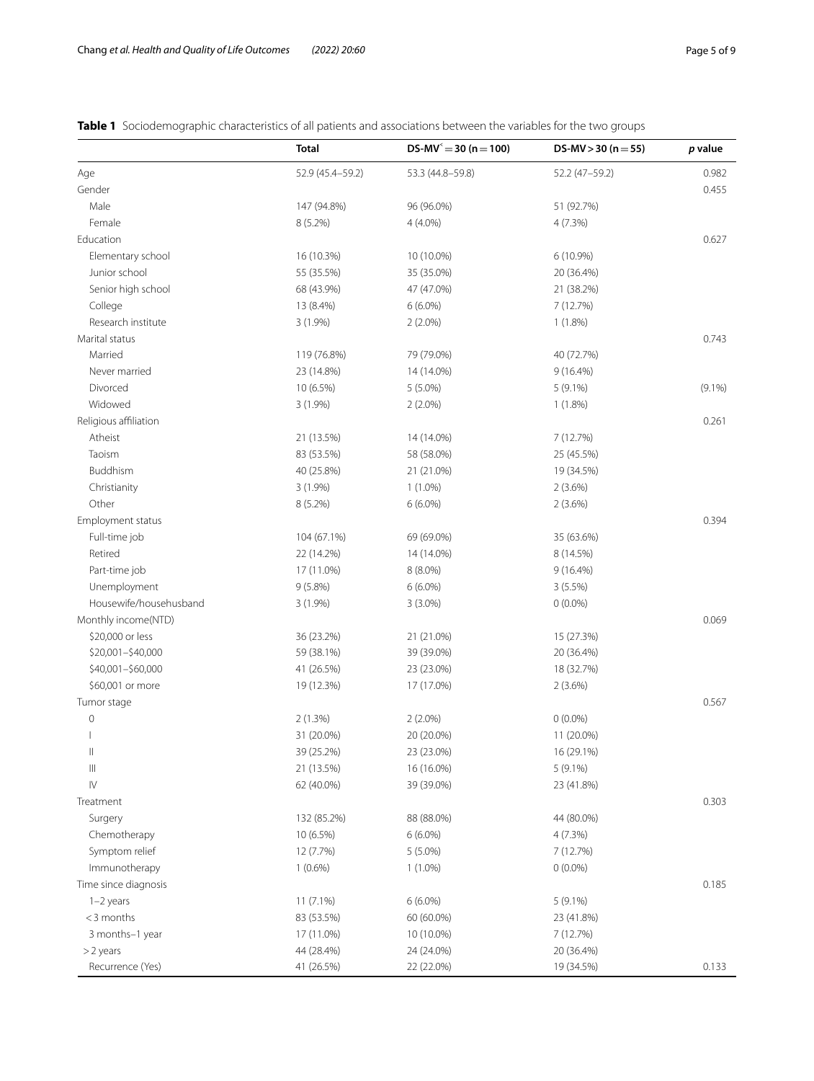<span id="page-4-0"></span>

| <b>Table 1</b> Sociodemographic characteristics of all patients and associations between the variables for the two groups |  |
|---------------------------------------------------------------------------------------------------------------------------|--|
|---------------------------------------------------------------------------------------------------------------------------|--|

|                            | <b>Total</b>             | $DS-MV^2 = 30 (n = 100)$ | DS-MV $>$ 30 (n = 55)   | p value   |
|----------------------------|--------------------------|--------------------------|-------------------------|-----------|
| Age                        | 52.9 (45.4-59.2)         | 53.3 (44.8-59.8)         | 52.2 (47-59.2)          | 0.982     |
| Gender                     |                          |                          |                         | 0.455     |
| Male                       | 147 (94.8%)              | 96 (96.0%)               | 51 (92.7%)              |           |
| Female                     | $8(5.2\%)$               | 4 (4.0%)                 | 4(7.3%)                 |           |
| Education                  |                          |                          |                         | 0.627     |
| Elementary school          | 16 (10.3%)               | 10 (10.0%)               | $6(10.9\%)$             |           |
| Junior school              | 55 (35.5%)               | 35 (35.0%)               | 20 (36.4%)              |           |
| Senior high school         | 68 (43.9%)               | 47 (47.0%)               | 21 (38.2%)              |           |
| College                    | 13 (8.4%)                | $6(6.0\%)$               | 7 (12.7%)               |           |
| Research institute         | $3(1.9\%)$               | $2(2.0\%)$               | $1(1.8\%)$              |           |
| Marital status             |                          |                          |                         | 0.743     |
| Married                    | 119 (76.8%)              | 79 (79.0%)               | 40 (72.7%)              |           |
| Never married              | 23 (14.8%)               | 14 (14.0%)               | $9(16.4\%)$             |           |
| Divorced                   | 10 (6.5%)                | $5(5.0\%)$               | 5 (9.1%)                | $(9.1\%)$ |
| Widowed                    | $3(1.9\%)$               | $2(2.0\%)$               | $1(1.8\%)$              |           |
| Religious affiliation      |                          |                          |                         | 0.261     |
| Atheist                    | 21 (13.5%)               | 14 (14.0%)               | 7 (12.7%)               |           |
| Taoism                     | 83 (53.5%)               | 58 (58.0%)               | 25 (45.5%)              |           |
| Buddhism                   | 40 (25.8%)               | 21 (21.0%)               | 19 (34.5%)              |           |
| Christianity               | $3(1.9\%)$               | $1(1.0\%)$               | 2(3.6%)                 |           |
| Other                      | $8(5.2\%)$               | $6(6.0\%)$               | $2(3.6\%)$              |           |
| Employment status          |                          |                          |                         | 0.394     |
| Full-time job              | 104 (67.1%)              | 69 (69.0%)               | 35 (63.6%)              |           |
| Retired                    | 22 (14.2%)               | 14 (14.0%)               | 8 (14.5%)               |           |
| Part-time job              | 17 (11.0%)               | 8 (8.0%)                 | 9(16.4%)                |           |
| Unemployment               | $9(5.8\%)$               | $6(6.0\%)$               | 3(5.5%)                 |           |
| Housewife/househusband     | $3(1.9\%)$               | $3(3.0\%)$               | $0(0.0\%)$              |           |
| Monthly income(NTD)        |                          |                          |                         | 0.069     |
| \$20,000 or less           | 36 (23.2%)               | 21 (21.0%)               | 15 (27.3%)              |           |
| \$20,001-\$40,000          | 59 (38.1%)               | 39 (39.0%)               | 20 (36.4%)              |           |
| \$40,001-\$60,000          | 41 (26.5%)               | 23 (23.0%)               | 18 (32.7%)              |           |
| \$60,001 or more           | 19 (12.3%)               | 17 (17.0%)               | 2(3.6%)                 |           |
|                            |                          |                          |                         | 0.567     |
| Tumor stage<br>$\mathbf 0$ | 2(1.3%)                  | $2(2.0\%)$               | $0(0.0\%)$              |           |
|                            | 31 (20.0%)               | 20 (20.0%)               | 11 (20.0%)              |           |
| $\vert\vert$               | 39 (25.2%)               | 23 (23.0%)               | 16 (29.1%)              |           |
| $\vert\vert\vert$          |                          |                          | $5(9.1\%)$              |           |
| $\mathsf{IV}$              | 21 (13.5%)<br>62 (40.0%) | 16 (16.0%)<br>39 (39.0%) | 23 (41.8%)              |           |
| Treatment                  |                          |                          |                         | 0.303     |
|                            |                          |                          | 44 (80.0%)              |           |
| Surgery                    | 132 (85.2%)              | 88 (88.0%)               |                         |           |
| Chemotherapy               | 10 (6.5%)                | $6(6.0\%)$               | 4(7.3%)                 |           |
| Symptom relief             | 12 (7.7%)                | 5 (5.0%)                 | 7 (12.7%)<br>$0(0.0\%)$ |           |
| Immunotherapy              | $1(0.6\%)$               | $1(1.0\%)$               |                         |           |
| Time since diagnosis       |                          |                          |                         | 0.185     |
| 1-2 years                  | 11 (7.1%)                | $6(6.0\%)$               | 5 (9.1%)                |           |
| <3 months                  | 83 (53.5%)               | 60 (60.0%)               | 23 (41.8%)              |           |
| 3 months-1 year            | 17 (11.0%)               | 10 (10.0%)               | 7 (12.7%)               |           |
| >2 years                   | 44 (28.4%)               | 24 (24.0%)               | 20 (36.4%)              |           |
| Recurrence (Yes)           | 41 (26.5%)               | 22 (22.0%)               | 19 (34.5%)              | 0.133     |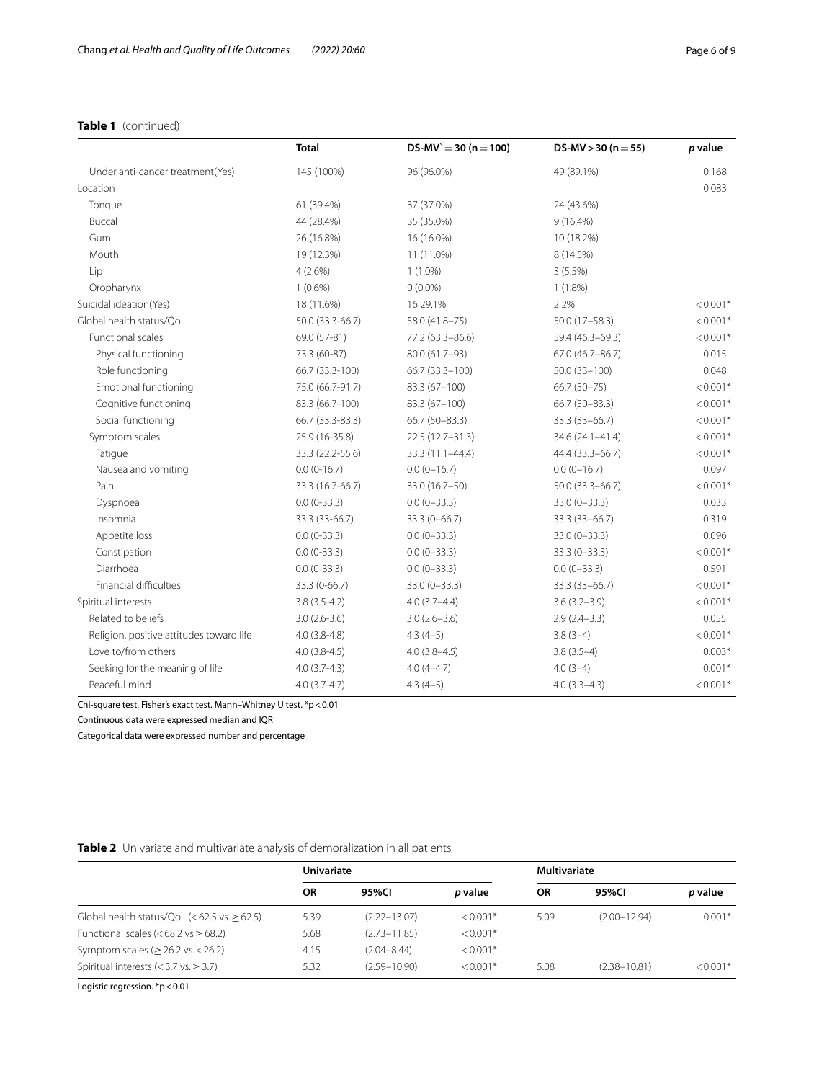## **Table 1** (continued)

|                                          | <b>Total</b>                                           | $DS-MV^2 = 30 (n = 100)$         | DS-MV $>$ 30 (n = 55) | p value    |  |
|------------------------------------------|--------------------------------------------------------|----------------------------------|-----------------------|------------|--|
| Under anti-cancer treatment(Yes)         | 145 (100%)                                             | 96 (96.0%)                       | 49 (89.1%)            | 0.168      |  |
| Location                                 |                                                        |                                  |                       | 0.083      |  |
| Tongue                                   | 61 (39.4%)                                             | 37 (37.0%)                       | 24 (43.6%)            |            |  |
| Buccal                                   | 44 (28.4%)                                             | 35 (35.0%)                       | $9(16.4\%)$           |            |  |
| Gum                                      | 26 (16.8%)                                             | 16 (16.0%)                       | 10 (18.2%)            |            |  |
| Mouth                                    | 19 (12.3%)                                             | 11 (11.0%)                       | 8 (14.5%)             |            |  |
| Lip                                      | 4(2.6%)                                                | $1(1.0\%)$                       | $3(5.5\%)$            |            |  |
| Oropharynx                               | $1(0.6\%)$                                             | $0(0.0\%)$                       | $1(1.8\%)$            |            |  |
| Suicidal ideation(Yes)                   | 18 (11.6%)                                             | 16 29.1%                         | 2 2%                  | $< 0.001*$ |  |
| Global health status/OoL                 | 50.0 (33.3-66.7)                                       | 58.0 (41.8-75)                   | $50.0(17 - 58.3)$     | $< 0.001*$ |  |
| <b>Functional scales</b>                 | 69.0 (57-81)                                           | 77.2 (63.3-86.6)                 | 59.4 (46.3-69.3)      | $< 0.001*$ |  |
| Physical functioning                     | 73.3 (60-87)                                           | 80.0 (61.7-93)                   | 67.0 (46.7-86.7)      |            |  |
| Role functioning                         | 66.7 (33.3-100)<br>66.7 (33.3-100)<br>$50.0(33 - 100)$ |                                  | 0.048                 |            |  |
| <b>Emotional functioning</b>             | 75.0 (66.7-91.7)                                       | 83.3 (67-100)<br>$66.7(50-75)$   |                       | $< 0.001*$ |  |
| Cognitive functioning                    | 83.3 (66.7-100)                                        | 83.3 (67-100)<br>$66.7(50-83.3)$ |                       | $< 0.001*$ |  |
| Social functioning                       | 66.7 (33.3-83.3)                                       | 66.7 (50-83.3)                   | 33.3 (33-66.7)        | $< 0.001*$ |  |
| Symptom scales                           | 25.9 (16-35.8)                                         | $22.5(12.7 - 31.3)$              | 34.6 (24.1-41.4)      | $< 0.001*$ |  |
| Fatigue                                  | 33.3 (22.2-55.6)                                       | 33.3 (11.1-44.4)                 | 44.4 (33.3 - 66.7)    | $< 0.001*$ |  |
| Nausea and vomiting                      | $0.0(0-16.7)$                                          | $0.0(0-16.7)$<br>$0.0(0-16.7)$   |                       | 0.097      |  |
| Pain                                     | 33.3 (16.7-66.7)                                       | 33.0 (16.7-50)                   | 50.0 (33.3-66.7)      | $< 0.001*$ |  |
| Dyspnoea                                 | $0.0(0-33.3)$                                          | $0.0(0-33.3)$                    | $33.0(0-33.3)$        | 0.033      |  |
| Insomnia                                 | 33.3 (33-66.7)                                         | 33.3 (0-66.7)                    | 33.3 (33-66.7)        | 0.319      |  |
| Appetite loss                            | $0.0(0-33.3)$<br>$0.0(0-33.3)$                         |                                  | $33.0 (0 - 33.3)$     | 0.096      |  |
| Constipation                             | $0.0(0-33.3)$                                          | $0.0(0-33.3)$                    | $33.3(0 - 33.3)$      | $< 0.001*$ |  |
| Diarrhoea                                | $0.0(0-33.3)$                                          | $0.0(0-33.3)$                    | $0.0(0-33.3)$         | 0.591      |  |
| Financial difficulties                   | 33.3 (0-66.7)                                          | $33.0(0 - 33.3)$                 | 33.3 (33-66.7)        | $< 0.001*$ |  |
| Spiritual interests                      | $3.8(3.5-4.2)$                                         | $4.0(3.7 - 4.4)$                 | $3.6(3.2 - 3.9)$      | $< 0.001*$ |  |
| Related to beliefs                       | $3.0(2.6-3.6)$                                         | $3.0(2.6 - 3.6)$                 | $2.9(2.4-3.3)$        | 0.055      |  |
| Religion, positive attitudes toward life | $4.0(3.8-4.8)$                                         | $4.3(4-5)$                       | $3.8(3-4)$            | $< 0.001*$ |  |
| Love to/from others                      | $4.0(3.8-4.5)$                                         | $4.0(3.8-4.5)$                   | $3.8(3.5-4)$          | $0.003*$   |  |
| Seeking for the meaning of life          | $4.0(3.7-4.3)$                                         | $4.0(4-4.7)$                     | $4.0(3-4)$            | $0.001*$   |  |
| Peaceful mind                            | $4.0(3.7 - 4.7)$                                       | $4.3(4-5)$                       | $4.0(3.3-4.3)$        | $< 0.001*$ |  |

Chi-square test. Fisher's exact test. Mann–Whitney U test. \*p<0.01

Continuous data were expressed median and IQR

Categorical data were expressed number and percentage

## <span id="page-5-0"></span>**Table 2** Univariate and multivariate analysis of demoralization in all patients

|                                                   | Univariate |                  |                | Multivariate |                  |            |
|---------------------------------------------------|------------|------------------|----------------|--------------|------------------|------------|
|                                                   | ΟR         | 95%CI            | <i>p</i> value | ΟR           | 95%CI            | p value    |
| Global health status/QoL $(< 62.5$ vs. $> 62.5$ ) | 5.39       | $(2.22 - 13.07)$ | $< 0.001*$     | 5.09         | $(2.00 - 12.94)$ | $0.001*$   |
| Functional scales $(< 68.2$ vs $> 68.2$ )         | 5.68       | $(2.73 - 11.85)$ | $< 0.001*$     |              |                  |            |
| Symptom scales ( $\geq$ 26.2 vs. < 26.2)          | 4.15       | $(2.04 - 8.44)$  | $< 0.001*$     |              |                  |            |
| Spiritual interests $(< 3.7$ vs. $> 3.7$ )        | 5.32       | $(2.59 - 10.90)$ | $< 0.001*$     | 5.08         | $(2.38 - 10.81)$ | $< 0.001*$ |

Logistic regression. \*p<0.01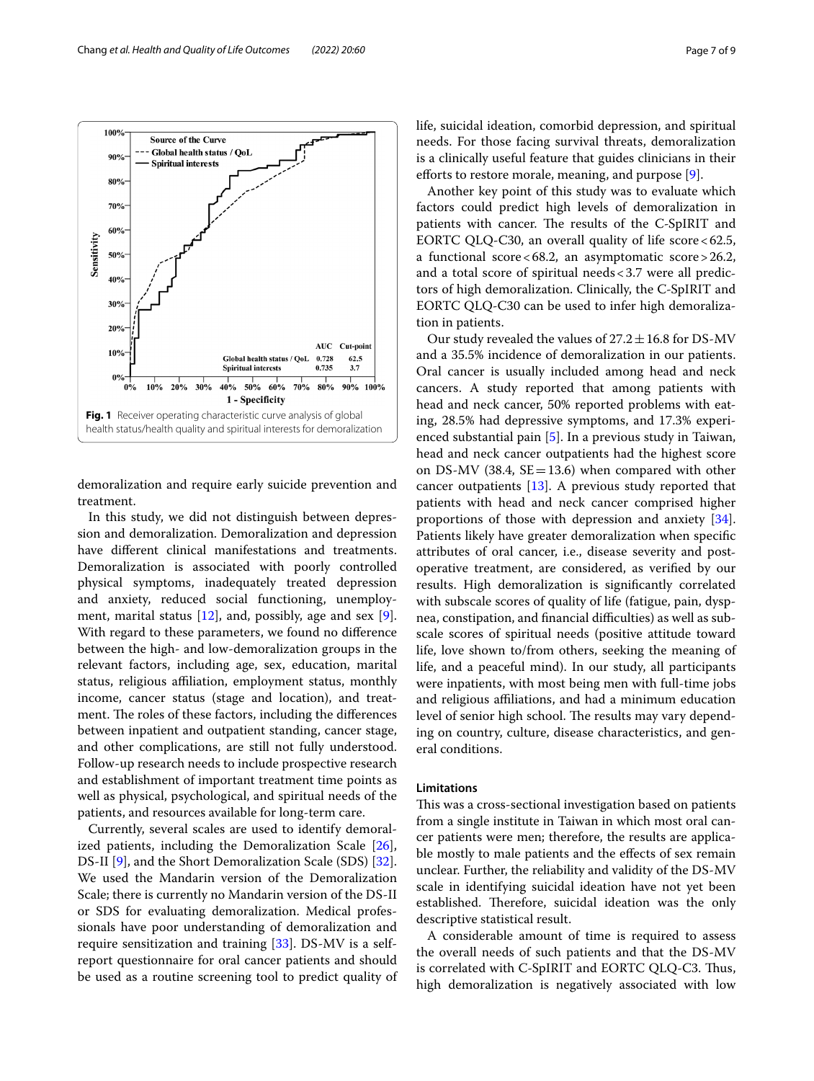<span id="page-6-0"></span>demoralization and require early suicide prevention and treatment.

In this study, we did not distinguish between depression and demoralization. Demoralization and depression have diferent clinical manifestations and treatments. Demoralization is associated with poorly controlled physical symptoms, inadequately treated depression and anxiety, reduced social functioning, unemployment, marital status  $[12]$  $[12]$ , and, possibly, age and sex  $[9]$  $[9]$ . With regard to these parameters, we found no diference between the high- and low-demoralization groups in the relevant factors, including age, sex, education, marital status, religious affiliation, employment status, monthly income, cancer status (stage and location), and treatment. The roles of these factors, including the differences between inpatient and outpatient standing, cancer stage, and other complications, are still not fully understood. Follow-up research needs to include prospective research and establishment of important treatment time points as well as physical, psychological, and spiritual needs of the patients, and resources available for long-term care.

Currently, several scales are used to identify demoralized patients, including the Demoralization Scale [\[26](#page-8-5)], DS-II [\[9](#page-7-7)], and the Short Demoralization Scale (SDS) [\[32](#page-8-11)]. We used the Mandarin version of the Demoralization Scale; there is currently no Mandarin version of the DS-II or SDS for evaluating demoralization. Medical professionals have poor understanding of demoralization and require sensitization and training [[33\]](#page-8-12). DS-MV is a selfreport questionnaire for oral cancer patients and should be used as a routine screening tool to predict quality of life, suicidal ideation, comorbid depression, and spiritual needs. For those facing survival threats, demoralization is a clinically useful feature that guides clinicians in their efforts to restore morale, meaning, and purpose  $[9]$  $[9]$  $[9]$ .

Another key point of this study was to evaluate which factors could predict high levels of demoralization in patients with cancer. The results of the C-SpIRIT and EORTC QLQ-C30, an overall quality of life score  $< 62.5$ , a functional score<68.2, an asymptomatic score>26.2, and a total score of spiritual needs<3.7 were all predictors of high demoralization. Clinically, the C-SpIRIT and EORTC QLQ-C30 can be used to infer high demoralization in patients.

Our study revealed the values of  $27.2 \pm 16.8$  for DS-MV and a 35.5% incidence of demoralization in our patients. Oral cancer is usually included among head and neck cancers. A study reported that among patients with head and neck cancer, 50% reported problems with eating, 28.5% had depressive symptoms, and 17.3% experienced substantial pain [\[5\]](#page-7-18). In a previous study in Taiwan, head and neck cancer outpatients had the highest score on DS-MV (38.4,  $SE = 13.6$ ) when compared with other cancer outpatients [[13](#page-7-11)]. A previous study reported that patients with head and neck cancer comprised higher proportions of those with depression and anxiety [\[34](#page-8-13)]. Patients likely have greater demoralization when specifc attributes of oral cancer, i.e., disease severity and postoperative treatment, are considered, as verifed by our results. High demoralization is signifcantly correlated with subscale scores of quality of life (fatigue, pain, dyspnea, constipation, and financial difficulties) as well as subscale scores of spiritual needs (positive attitude toward life, love shown to/from others, seeking the meaning of life, and a peaceful mind). In our study, all participants were inpatients, with most being men with full-time jobs and religious affiliations, and had a minimum education level of senior high school. The results may vary depending on country, culture, disease characteristics, and general conditions.

### **Limitations**

This was a cross-sectional investigation based on patients from a single institute in Taiwan in which most oral cancer patients were men; therefore, the results are applicable mostly to male patients and the effects of sex remain unclear. Further, the reliability and validity of the DS-MV scale in identifying suicidal ideation have not yet been established. Therefore, suicidal ideation was the only descriptive statistical result.

A considerable amount of time is required to assess the overall needs of such patients and that the DS-MV is correlated with C-SpIRIT and EORTC QLQ-C3. Thus, high demoralization is negatively associated with low

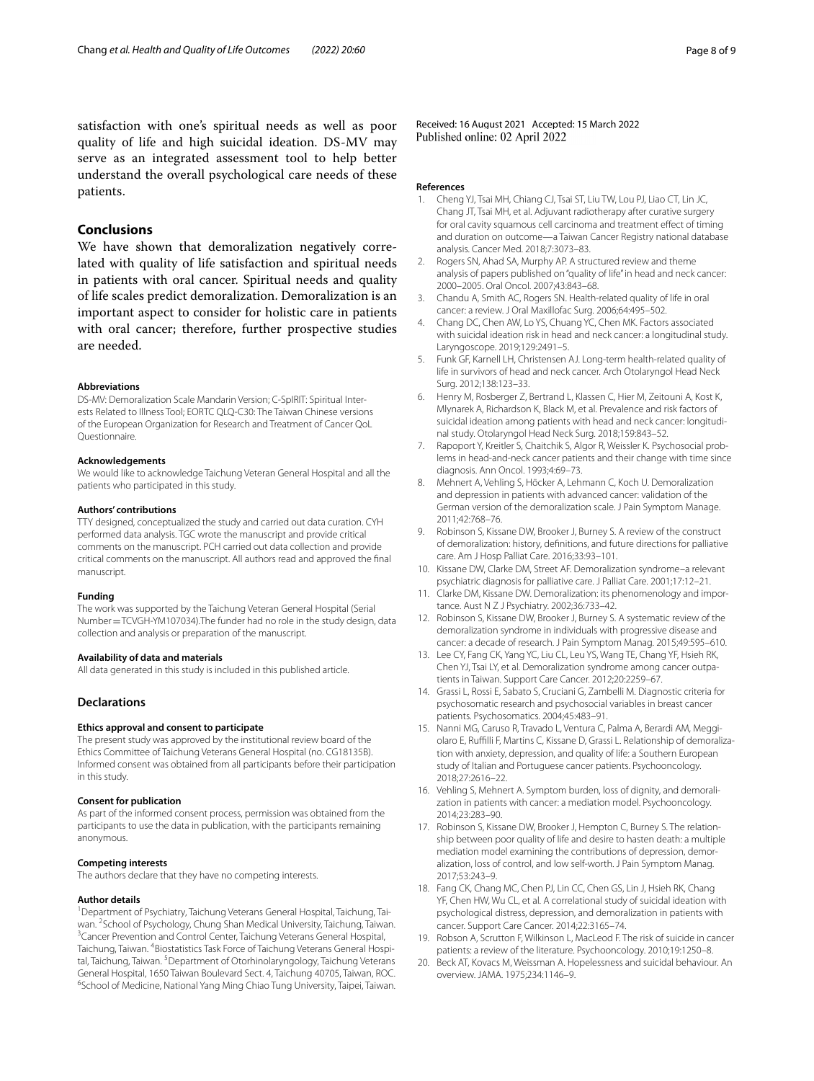satisfaction with one's spiritual needs as well as poor quality of life and high suicidal ideation. DS-MV may serve as an integrated assessment tool to help better understand the overall psychological care needs of these patients.

### **Conclusions**

We have shown that demoralization negatively correlated with quality of life satisfaction and spiritual needs in patients with oral cancer. Spiritual needs and quality of life scales predict demoralization. Demoralization is an important aspect to consider for holistic care in patients with oral cancer; therefore, further prospective studies are needed.

#### **Abbreviations**

DS-MV: Demoralization Scale Mandarin Version; C-SpIRIT: Spiritual Interests Related to Illness Tool; EORTC QLQ-C30: The Taiwan Chinese versions of the European Organization for Research and Treatment of Cancer QoL Questionnaire.

#### **Acknowledgements**

We would like to acknowledge Taichung Veteran General Hospital and all the patients who participated in this study.

#### **Authors' contributions**

TTY designed, conceptualized the study and carried out data curation. CYH performed data analysis. TGC wrote the manuscript and provide critical comments on the manuscript. PCH carried out data collection and provide critical comments on the manuscript. All authors read and approved the fnal manuscript.

#### **Funding**

The work was supported by the Taichung Veteran General Hospital (Serial Number=TCVGH-YM107034).The funder had no role in the study design, data collection and analysis or preparation of the manuscript.

#### **Availability of data and materials**

All data generated in this study is included in this published article.

### **Declarations**

#### **Ethics approval and consent to participate**

The present study was approved by the institutional review board of the Ethics Committee of Taichung Veterans General Hospital (no. CG18135B). Informed consent was obtained from all participants before their participation in this study.

#### **Consent for publication**

As part of the informed consent process, permission was obtained from the participants to use the data in publication, with the participants remaining anonymous.

### **Competing interests**

The authors declare that they have no competing interests.

#### **Author details**

<sup>1</sup> Department of Psychiatry, Taichung Veterans General Hospital, Taichung, Taiwan. <sup>2</sup>School of Psychology, Chung Shan Medical University, Taichung, Taiwan.<br><sup>3</sup>Cancer Prevention and Control Center Taichung Veterans General Hospital. <sup>3</sup> Cancer Prevention and Control Center, Taichung Veterans General Hospital, Taichung, Taiwan. <sup>4</sup>Biostatistics Task Force of Taichung Veterans General Hospital, Taichung, Taiwan. <sup>5</sup> Department of Otorhinolaryngology, Taichung Veterans General Hospital, 1650 Taiwan Boulevard Sect. 4, Taichung 40705, Taiwan, ROC. 6 <sup>6</sup>School of Medicine, National Yang Ming Chiao Tung University, Taipei, Taiwan.

Received: 16 August 2021 Accepted: 15 March 2022 Published online: 02 April 2022

#### **References**

- <span id="page-7-0"></span>1. Cheng YJ, Tsai MH, Chiang CJ, Tsai ST, Liu TW, Lou PJ, Liao CT, Lin JC, Chang JT, Tsai MH, et al. Adjuvant radiotherapy after curative surgery for oral cavity squamous cell carcinoma and treatment efect of timing and duration on outcome—a Taiwan Cancer Registry national database analysis. Cancer Med. 2018;7:3073–83.
- <span id="page-7-1"></span>2. Rogers SN, Ahad SA, Murphy AP. A structured review and theme analysis of papers published on "quality of life" in head and neck cancer: 2000–2005. Oral Oncol. 2007;43:843–68.
- <span id="page-7-2"></span>3. Chandu A, Smith AC, Rogers SN. Health-related quality of life in oral cancer: a review. J Oral Maxillofac Surg. 2006;64:495–502.
- <span id="page-7-3"></span>4. Chang DC, Chen AW, Lo YS, Chuang YC, Chen MK. Factors associated with suicidal ideation risk in head and neck cancer: a longitudinal study. Laryngoscope. 2019;129:2491–5.
- <span id="page-7-18"></span>5. Funk GF, Karnell LH, Christensen AJ. Long-term health-related quality of life in survivors of head and neck cancer. Arch Otolaryngol Head Neck Surg. 2012;138:123–33.
- <span id="page-7-4"></span>6. Henry M, Rosberger Z, Bertrand L, Klassen C, Hier M, Zeitouni A, Kost K, Mlynarek A, Richardson K, Black M, et al. Prevalence and risk factors of suicidal ideation among patients with head and neck cancer: longitudinal study. Otolaryngol Head Neck Surg. 2018;159:843–52.
- <span id="page-7-5"></span>7. Rapoport Y, Kreitler S, Chaitchik S, Algor R, Weissler K. Psychosocial problems in head-and-neck cancer patients and their change with time since diagnosis. Ann Oncol. 1993;4:69–73.
- <span id="page-7-6"></span>8. Mehnert A, Vehling S, Höcker A, Lehmann C, Koch U. Demoralization and depression in patients with advanced cancer: validation of the German version of the demoralization scale. J Pain Symptom Manage. 2011;42:768–76.
- <span id="page-7-7"></span>9. Robinson S, Kissane DW, Brooker J, Burney S. A review of the construct of demoralization: history, defnitions, and future directions for palliative care. Am J Hosp Palliat Care. 2016;33:93–101.
- <span id="page-7-8"></span>10. Kissane DW, Clarke DM, Street AF. Demoralization syndrome–a relevant psychiatric diagnosis for palliative care. J Palliat Care. 2001;17:12–21.
- <span id="page-7-9"></span>11. Clarke DM, Kissane DW. Demoralization: its phenomenology and importance. Aust N Z J Psychiatry. 2002;36:733–42.
- <span id="page-7-10"></span>12. Robinson S, Kissane DW, Brooker J, Burney S. A systematic review of the demoralization syndrome in individuals with progressive disease and cancer: a decade of research. J Pain Symptom Manag. 2015;49:595–610.
- <span id="page-7-11"></span>13. Lee CY, Fang CK, Yang YC, Liu CL, Leu YS, Wang TE, Chang YF, Hsieh RK, Chen YJ, Tsai LY, et al. Demoralization syndrome among cancer outpatients in Taiwan. Support Care Cancer. 2012;20:2259–67.
- <span id="page-7-12"></span>14. Grassi L, Rossi E, Sabato S, Cruciani G, Zambelli M. Diagnostic criteria for psychosomatic research and psychosocial variables in breast cancer patients. Psychosomatics. 2004;45:483–91.
- 15. Nanni MG, Caruso R, Travado L, Ventura C, Palma A, Berardi AM, Meggiolaro E, Ruffilli F, Martins C, Kissane D, Grassi L. Relationship of demoralization with anxiety, depression, and quality of life: a Southern European study of Italian and Portuguese cancer patients. Psychooncology. 2018;27:2616–22.
- <span id="page-7-13"></span>16. Vehling S, Mehnert A. Symptom burden, loss of dignity, and demoralization in patients with cancer: a mediation model. Psychooncology. 2014;23:283–90.
- <span id="page-7-14"></span>17. Robinson S, Kissane DW, Brooker J, Hempton C, Burney S. The relationship between poor quality of life and desire to hasten death: a multiple mediation model examining the contributions of depression, demoralization, loss of control, and low self-worth. J Pain Symptom Manag. 2017;53:243–9.
- <span id="page-7-15"></span>18. Fang CK, Chang MC, Chen PJ, Lin CC, Chen GS, Lin J, Hsieh RK, Chang YF, Chen HW, Wu CL, et al. A correlational study of suicidal ideation with psychological distress, depression, and demoralization in patients with cancer. Support Care Cancer. 2014;22:3165–74.
- <span id="page-7-16"></span>19. Robson A, Scrutton F, Wilkinson L, MacLeod F. The risk of suicide in cancer patients: a review of the literature. Psychooncology. 2010;19:1250–8.
- <span id="page-7-17"></span>20. Beck AT, Kovacs M, Weissman A. Hopelessness and suicidal behaviour. An overview. JAMA. 1975;234:1146–9.